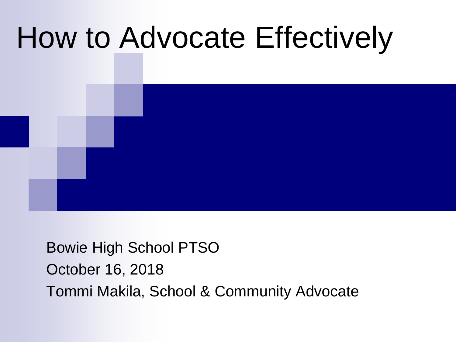# How to Advocate Effectively

### Bowie High School PTSO October 16, 2018 Tommi Makila, School & Community Advocate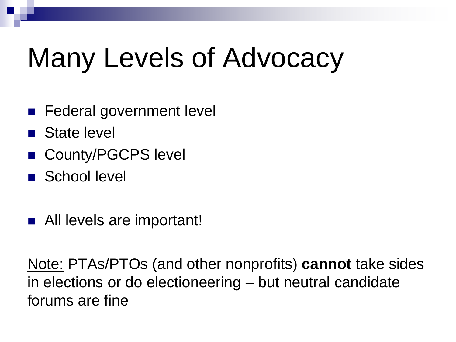# Many Levels of Advocacy

- Federal government level
- State level
- County/PGCPS level
- School level
- All levels are important!

Note: PTAs/PTOs (and other nonprofits) **cannot** take sides in elections or do electioneering – but neutral candidate forums are fine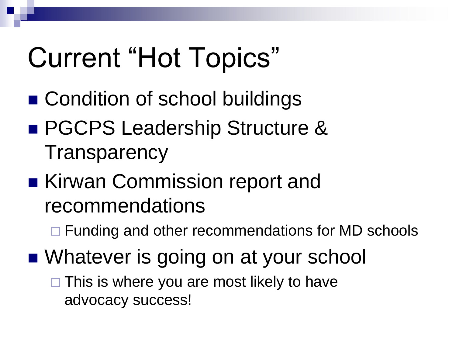# Current "Hot Topics"

- Condition of school buildings
- PGCPS Leadership Structure & **Transparency**
- Kirwan Commission report and recommendations
	- □ Funding and other recommendations for MD schools
- Whatever is going on at your school

 $\Box$  This is where you are most likely to have advocacy success!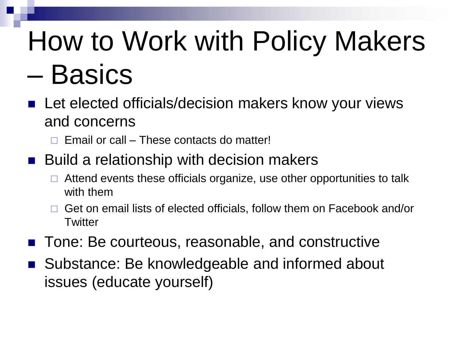# How to Work with Policy Makers – Basics

- Let elected officials/decision makers know your views and concerns
	- Email or call These contacts do matter!
- Build a relationship with decision makers
	- Attend events these officials organize, use other opportunities to talk with them
	- Get on email lists of elected officials, follow them on Facebook and/or **Twitter**
- Tone: Be courteous, reasonable, and constructive
- Substance: Be knowledgeable and informed about issues (educate yourself)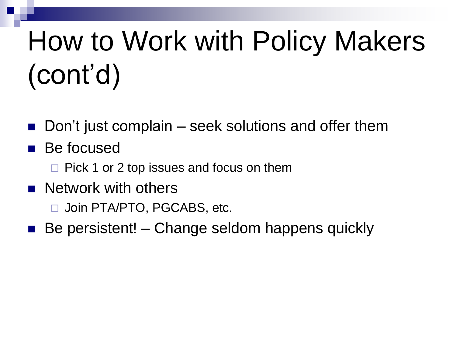# How to Work with Policy Makers (cont'd)

- Don't just complain seek solutions and offer them
- Be focused
	- $\Box$  Pick 1 or 2 top issues and focus on them
- **Network with others** 
	- □ Join PTA/PTO, PGCABS, etc.
- Be persistent! Change seldom happens quickly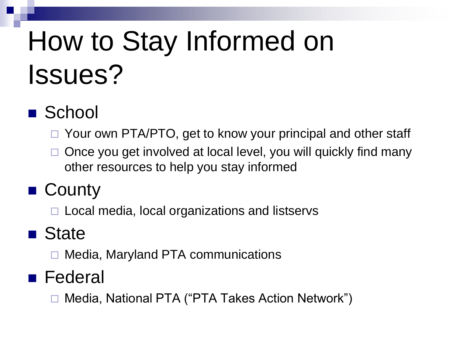# How to Stay Informed on Issues?

## ■ School

□ Your own PTA/PTO, get to know your principal and other staff

 Once you get involved at local level, you will quickly find many other resources to help you stay informed

## ■ County

 $\Box$  Local media, local organizations and listservs

## ■ State

Media, Maryland PTA communications

### ■ Federal

Media, National PTA ("PTA Takes Action Network")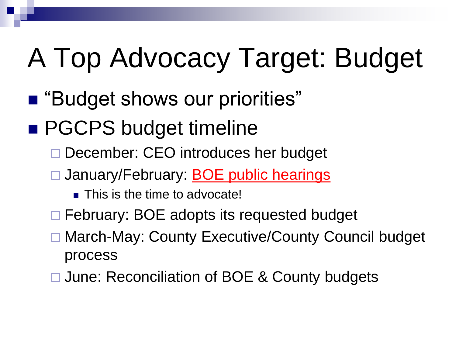# A Top Advocacy Target: Budget

- "Budget shows our priorities"
- PGCPS budget timeline
	- December: CEO introduces her budget
	- □ January/February: **BOE public hearings** 
		- **This is the time to advocate!**
	- □ February: BOE adopts its requested budget
	- □ March-May: County Executive/County Council budget process
	- □ June: Reconciliation of BOE & County budgets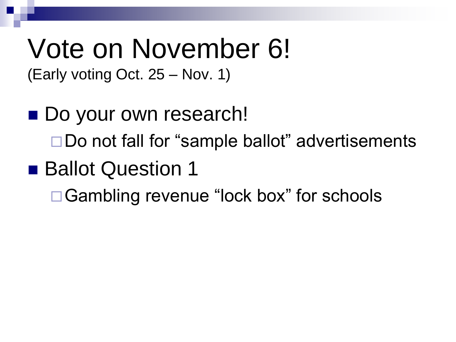# Vote on November 6!

(Early voting Oct. 25 – Nov. 1)

■ Do your own research! □ Do not fall for "sample ballot" advertisements ■ Ballot Question 1 □ Gambling revenue "lock box" for schools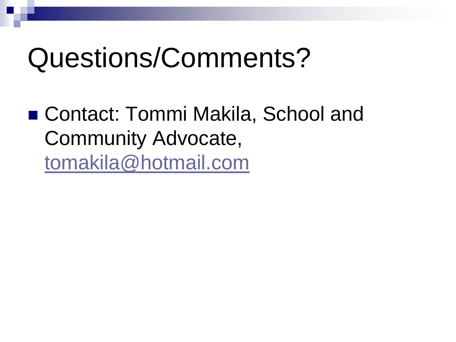## Questions/Comments?

■ Contact: Tommi Makila, School and Community Advocate, [tomakila@hotmail.com](mailto:tomakila@hotmail.com)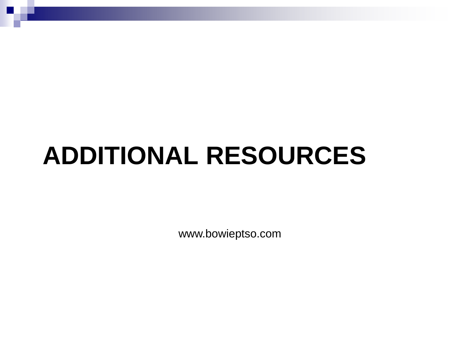## **ADDITIONAL RESOURCES**

www.bowieptso.com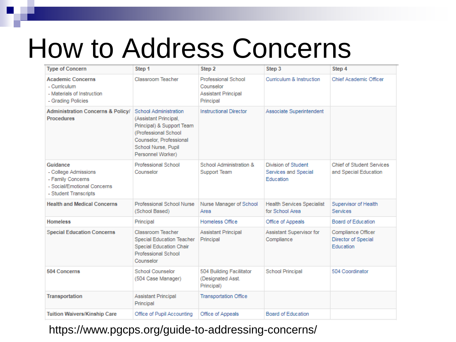## How to Address Concerns

| <b>Type of Concern</b>                                                                                        | Step 1                                                                                                                                                                      | Step 2                                                                      | Step 3                                                          | Step 4                                                        |
|---------------------------------------------------------------------------------------------------------------|-----------------------------------------------------------------------------------------------------------------------------------------------------------------------------|-----------------------------------------------------------------------------|-----------------------------------------------------------------|---------------------------------------------------------------|
| <b>Academic Concerns</b><br>- Curriculum<br>- Materials of Instruction<br>- Grading Policies                  | Classroom Teacher                                                                                                                                                           | Professional School<br>Counselor<br><b>Assistant Principal</b><br>Principal | Curriculum & Instruction                                        | Chief Academic Officer                                        |
| <b>Administration Concerns &amp; Policy/</b><br><b>Procedures</b>                                             | School Administration<br>(Assistant Principal,<br>Principal) & Support Team<br>(Professional School)<br>Counselor, Professional<br>School Nurse, Pupil<br>Personnel Worker) | <b>Instructional Director</b>                                               | Associate Superintendent                                        |                                                               |
| Guidance<br>- College Admissions<br>- Family Concerns<br>- Social/Emotional Concerns<br>- Student Transcripts | Professional School<br>Counselor                                                                                                                                            | School Administration &<br>Support Team                                     | <b>Division of Student</b><br>Services and Special<br>Education | <b>Chief of Student Services</b><br>and Special Education     |
| <b>Health and Medical Concerns</b>                                                                            | Professional School Nurse<br>(School Based)                                                                                                                                 | Nurse Manager of School<br>Area                                             | <b>Health Services Specialist</b><br>for School Area            | Supervisor of Health<br><b>Services</b>                       |
| <b>Homeless</b>                                                                                               | Principal                                                                                                                                                                   | Homeless Office                                                             | Office of Appeals                                               | Board of Education                                            |
| <b>Special Education Concerns</b>                                                                             | Classroom Teacher<br><b>Special Education Teacher</b><br>Special Education Chair<br>Professional School<br>Counselor                                                        | <b>Assistant Principal</b><br>Principal                                     | Assistant Supervisor for<br>Compliance                          | Compliance Officer<br>Director of Special<br><b>Education</b> |
| 504 Concerns                                                                                                  | <b>School Counselor</b><br>(504 Case Manager)                                                                                                                               | 504 Building Facilitator<br>(Designated Asst.<br>Principal)                 | <b>School Principal</b>                                         | 504 Coordinator                                               |
| Transportation                                                                                                | Assistant Principal<br>Principal                                                                                                                                            | <b>Transportation Office</b>                                                |                                                                 |                                                               |
| <b>Tuition Waivers/Kinship Care</b>                                                                           | Office of Pupil Accounting                                                                                                                                                  | Office of Appeals                                                           | <b>Board of Education</b>                                       |                                                               |

### https://www.pgcps.org/guide-to-addressing-concerns/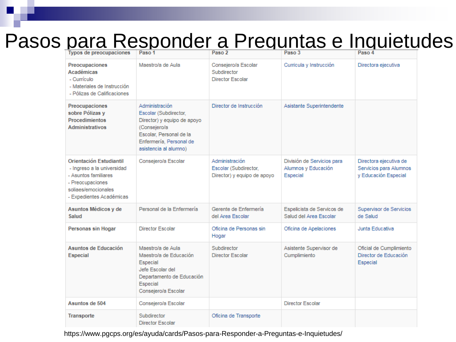### Pasos para Responder a Preguntas e Inquietudes

| <b>Typos de preocupaciones</b>                                                                                                                              | Paso 1                                                                                                                                                                | Paso 2                                                                 | Paso 3                                                        | Paso 4                                                                   |
|-------------------------------------------------------------------------------------------------------------------------------------------------------------|-----------------------------------------------------------------------------------------------------------------------------------------------------------------------|------------------------------------------------------------------------|---------------------------------------------------------------|--------------------------------------------------------------------------|
| Preocupaciones<br><b>Académicas</b><br>- Currículo<br>- Materiales de Instrucción<br>- Pólizas de Calificaciones                                            | Maestro/a de Aula                                                                                                                                                     | Consejero/a Escolar<br>Subdirector<br>Director Escolar                 | Curricula y Instrucción                                       | Directora ejecutiva                                                      |
| Preocupaciones<br>sobre Pólizas y<br><b>Procedimientos</b><br><b>Administrativos</b>                                                                        | Administración<br>Escolar (Subdirector,<br>Director) y equipo de apoyo<br>(Consejero/a<br>Escolar, Personal de la<br>Enfermería, Personal de<br>asistencia al alumno) | Director de Instrucción                                                | Asistante Superintendente                                     |                                                                          |
| <b>Orientación Estudiantil</b><br>- Ingreso a la universidad<br>- Asuntos familiares<br>- Preocupaciones<br>soliaes/emocionales<br>- Expedientes Académicas | Consejero/a Escolar                                                                                                                                                   | Administración<br>Escolar (Subdirector,<br>Director) y equipo de apoyo | División de Servicios para<br>Alumnos y Educación<br>Especial | Directora ejecutiva de<br>Servicios para Alumnos<br>y Educación Especial |
| Asuntos Médicos y de<br>Salud                                                                                                                               | Personal de la Enfermería                                                                                                                                             | Gerente de Enfermería<br>del Area Escolar                              | Espelicista de Servicos de<br>Salud del Area Escolar          | Supervisor de Servicios<br>de Salud                                      |
| Personas sin Hogar                                                                                                                                          | <b>Director Escolar</b>                                                                                                                                               | Oficina de Personas sin<br>Hogar                                       | Oficina de Apelaciones                                        | Junta Educativa                                                          |
| Asuntos de Educación<br><b>Especial</b>                                                                                                                     | Maestro/a de Aula<br>Maestro/a de Educación<br>Especial<br>Jefe Escolar del<br>Departamento de Educación<br>Especial<br>Consejero/a Escolar                           | Subdirector<br><b>Director Escolar</b>                                 | Asistente Supervisor de<br>Cumplimiento                       | Oficial de Cumplimiento<br>Director de Educación<br>Especial             |
| Asuntos de 504                                                                                                                                              | Consejero/a Escolar                                                                                                                                                   |                                                                        | <b>Director Escolar</b>                                       |                                                                          |
| <b>Transporte</b>                                                                                                                                           | Subdirector<br><b>Director Escolar</b>                                                                                                                                | Oficina de Transporte                                                  |                                                               |                                                                          |

https://www.pgcps.org/es/ayuda/cards/Pasos-para-Responder-a-Preguntas-e-Inquietudes/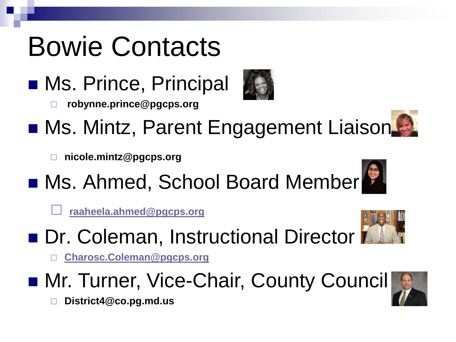# Bowie Contacts

■ Ms. Prince, Principal



- **robynne.prince@pgcps.org Ms. Mintz, Parent Engagement Liaison.** 
	- **nicole.mintz@pgcps.org**
- Ms. Ahmed, School Board Member

**[raaheela.ahmed@pgcps.org](mailto:raaheela.ahmed@pgcps.org)**



- **Dr. Coleman, Instructional Director** 
	- **[Charosc.Coleman@pgcps.org](mailto:Charosc.Coleman@pgcps.org)**
- Mr. Turner, Vice-Chair, County Council



**District4@co.pg.md.us**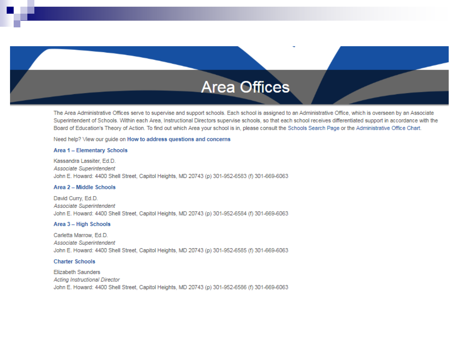### **Area Offices**

The Area Administrative Offices serve to supervise and support schools. Each school is assigned to an Administrative Office, which is overseen by an Associate Superintendent of Schools. Within each Area, Instructional Directors supervise schools, so that each school receives differentiated support in accordance with the Board of Education's Theory of Action. To find out which Area your school is in, please consult the Schools Search Page or the Administrative Office Chart.

Need help? View our quide on How to address questions and concerns

#### Area 1 - Elementary Schools

Kassandra Lassiter, Ed.D. Associate Superintendent John E. Howard: 4400 Shell Street, Capitol Heights, MD 20743 (p) 301-952-6583 (f) 301-669-6063

#### Area 2 - Middle Schools

David Curry, Ed.D. Associate Superintendent John E. Howard: 4400 Shell Street, Capitol Heights, MD 20743 (p) 301-952-6584 (f) 301-669-6063

#### Area 3 - High Schools

Carletta Marrow, Ed.D. Associate Superintendent John E. Howard: 4400 Shell Street, Capitol Heights, MD 20743 (p) 301-952-6585 (f) 301-669-6063

#### **Charter Schools**

**Elizabeth Saunders Acting Instructional Director** John E. Howard: 4400 Shell Street, Capitol Heights, MD 20743 (p) 301-952-6586 (f) 301-669-6063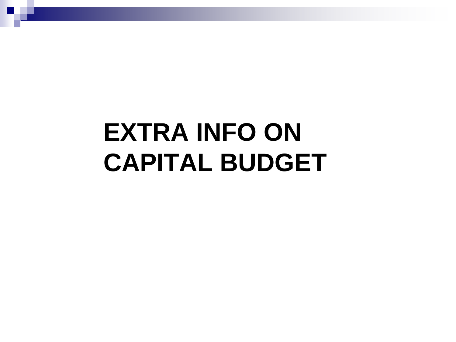## **EXTRA INFO ON CAPITAL BUDGET**